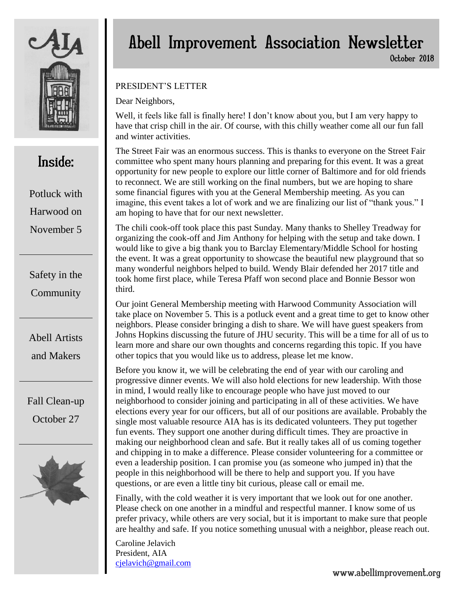

## Inside:

Potluck with Harwood on November 5

Safety in the **Community** 

Abell Artists and Makers

Fall Clean-up October 27



# Abell Improvement Association Newsletter

October 2018

#### PRESIDENT'S LETTER

Dear Neighbors,

Well, it feels like fall is finally here! I don't know about you, but I am very happy to have that crisp chill in the air. Of course, with this chilly weather come all our fun fall and winter activities.

The Street Fair was an enormous success. This is thanks to everyone on the Street Fair committee who spent many hours planning and preparing for this event. It was a great opportunity for new people to explore our little corner of Baltimore and for old friends to reconnect. We are still working on the final numbers, but we are hoping to share some financial figures with you at the General Membership meeting. As you can imagine, this event takes a lot of work and we are finalizing our list of "thank yous." I am hoping to have that for our next newsletter.

The chili cook-off took place this past Sunday. Many thanks to Shelley Treadway for organizing the cook-off and Jim Anthony for helping with the setup and take down. I would like to give a big thank you to Barclay Elementary/Middle School for hosting the event. It was a great opportunity to showcase the beautiful new playground that so many wonderful neighbors helped to build. Wendy Blair defended her 2017 title and took home first place, while Teresa Pfaff won second place and Bonnie Bessor won third.

Our joint General Membership meeting with Harwood Community Association will take place on November 5. This is a potluck event and a great time to get to know other neighbors. Please consider bringing a dish to share. We will have guest speakers from Johns Hopkins discussing the future of JHU security. This will be a time for all of us to learn more and share our own thoughts and concerns regarding this topic. If you have other topics that you would like us to address, please let me know.

Before you know it, we will be celebrating the end of year with our caroling and progressive dinner events. We will also hold elections for new leadership. With those in mind, I would really like to encourage people who have just moved to our neighborhood to consider joining and participating in all of these activities. We have elections every year for our officers, but all of our positions are available. Probably the single most valuable resource AIA has is its dedicated volunteers. They put together fun events. They support one another during difficult times. They are proactive in making our neighborhood clean and safe. But it really takes all of us coming together and chipping in to make a difference. Please consider volunteering for a committee or even a leadership position. I can promise you (as someone who jumped in) that the people in this neighborhood will be there to help and support you. If you have questions, or are even a little tiny bit curious, please call or email me.

Finally, with the cold weather it is very important that we look out for one another. Please check on one another in a mindful and respectful manner. I know some of us prefer privacy, while others are very social, but it is important to make sure that people are healthy and safe. If you notice something unusual with a neighbor, please reach out.

Caroline Jelavich President, AIA [cjelavich@gmail.com](mailto:cjelavich@gmail.com)

### www.abellimprovement.org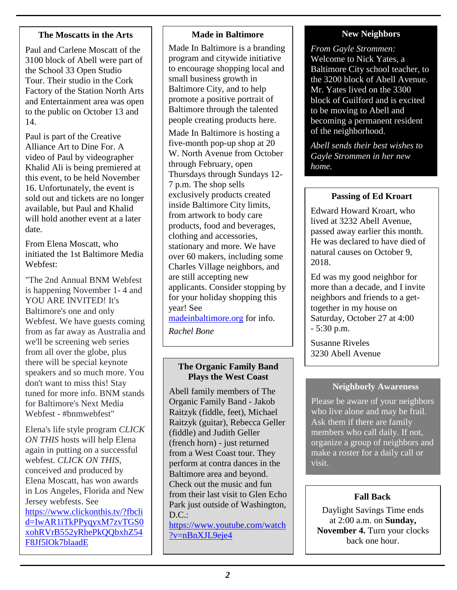#### **The Moscatts in the Arts**

Paul and Carlene Moscatt of the 3100 block of Abell were part of the School 33 Open Studio Tour. Their studio in the Cork Factory of the Station North Arts and Entertainment area was open to the public on October 13 and 14.

Paul is part of the Creative Alliance Art to Dine For. A video of Paul by videographer Khalid Ali is being premiered at this event, to be held November 16. Unfortunately, the event is sold out and tickets are no longer available, but Paul and Khalid will hold another event at a later date.

From Elena Moscatt, who initiated the 1st Baltimore Media Webfest:

"The 2nd Annual BNM Webfest is happening November 1- 4 and YOU ARE INVITED! It's Baltimore's one and only Webfest. We have guests coming from as far away as Australia and we'll be screening web series from all over the globe, plus there will be special keynote speakers and so much more. You don't want to miss this! Stay tuned for more info. BNM stands for Baltimore's Next Media Webfest - #bnmwebfest"

Elena's life style program *CLICK ON THIS* hosts will help Elena again in putting on a successful webfest. *CLICK ON THIS*, conceived and produced by Elena Moscatt, has won awards in Los Angeles, Florida and New Jersey webfests. See [https://www.clickonthis.tv/?fbcli](https://www.clickonthis.tv/?fbclid=IwAR1iTkPPyqyxM7zvTGS0xohRVrB552yRhePkQQbxhZ54F8Jf5lOk7blaadE) [d=IwAR1iTkPPyqyxM7zvTGS0](https://www.clickonthis.tv/?fbclid=IwAR1iTkPPyqyxM7zvTGS0xohRVrB552yRhePkQQbxhZ54F8Jf5lOk7blaadE) [xohRVrB552yRhePkQQbxhZ54](https://www.clickonthis.tv/?fbclid=IwAR1iTkPPyqyxM7zvTGS0xohRVrB552yRhePkQQbxhZ54F8Jf5lOk7blaadE) [F8Jf5lOk7blaadE](https://www.clickonthis.tv/?fbclid=IwAR1iTkPPyqyxM7zvTGS0xohRVrB552yRhePkQQbxhZ54F8Jf5lOk7blaadE)

#### **Made in Baltimore**

Made In Baltimore is a branding program and citywide initiative to encourage shopping local and small business growth in Baltimore City, and to help promote a positive portrait of Baltimore through the talented people creating products here.

Made In Baltimore is hosting a five-month pop-up shop at 20 W. North Avenue from October through February, open Thursdays through Sundays 12- 7 p.m. The shop sells exclusively products created inside Baltimore City limits, from artwork to body care products, food and beverages, clothing and accessories, stationary and more. We have over 60 makers, including some Charles Village neighbors, and are still accepting new applicants. Consider stopping by for your holiday shopping this year! See [madeinbaltimore.org](http://madeinbaltimore.org/) for info.

*Rachel Bone*

#### **The Organic Family Band Plays the West Coast**

Abell family members of The Organic Family Band - Jakob Raitzyk (fiddle, feet), Michael Raitzyk (guitar), Rebecca Geller (fiddle) and Judith Geller (french horn) - just returned from a West Coast tour. They perform at contra dances in the Baltimore area and beyond. Check out the music and fun from their last visit to Glen Echo Park just outside of Washington,  $D.C.:$ [https://www.youtube.com/watch](https://www.youtube.com/watch?v=nBnXJL9eje4) [?v=nBnXJL9eje4](https://www.youtube.com/watch?v=nBnXJL9eje4)

#### **New Neighbors**

*From Gayle Strommen:* Welcome to Nick Yates, a Baltimore City school teacher, to the 3200 block of Abell Avenue. Mr. Yates lived on the 3300 block of Guilford and is excited to be moving to Abell and becoming a permanent resident of the neighborhood.

*Abell sends their best wishes to Gayle Strommen in her new home.*

#### **Passing of Ed Kroart**

Edward Howard Kroart, who lived at 3232 Abell Avenue, passed away earlier this month. He was declared to have died of natural causes on October 9, 2018.

Ed was my good neighbor for more than a decade, and I invite neighbors and friends to a gettogether in my house on Saturday, October 27 at 4:00 - 5:30 p.m.

Susanne Riveles 3230 Abell Avenue

#### **Neighborly Awareness**

Please be aware of your neighbors who live alone and may be frail. Ask them if there are family members who call daily. If not, organize a group of neighbors and make a roster for a daily call or visit.

#### **Fall Back**

Daylight Savings Time ends at 2:00 a.m. on **Sunday, November 4.** Turn your clocks back one hour.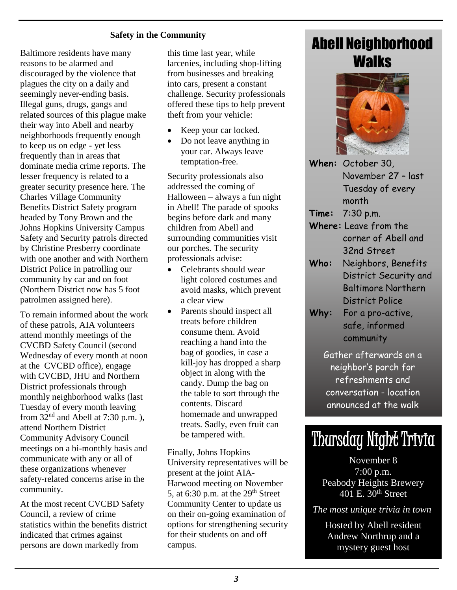#### **Safety in the Community**

Baltimore residents have many reasons to be alarmed and discouraged by the violence that plagues the city on a daily and seemingly never-ending basis. Illegal guns, drugs, gangs and related sources of this plague make their way into Abell and nearby neighborhoods frequently enough to keep us on edge - yet less frequently than in areas that dominate media crime reports. The lesser frequency is related to a greater security presence here. The Charles Village Community Benefits District Safety program headed by Tony Brown and the Johns Hopkins University Campus Safety and Security patrols directed by Christine Presberry coordinate with one another and with Northern District Police in patrolling our community by car and on foot (Northern District now has 5 foot patrolmen assigned here).

To remain informed about the work of these patrols, AIA volunteers attend monthly meetings of the CVCBD Safety Council (second Wednesday of every month at noon at the CVCBD office), engage with CVCBD, JHU and Northern District professionals through monthly neighborhood walks (last Tuesday of every month leaving from  $32<sup>nd</sup>$  and Abell at 7:30 p.m.). attend Northern District Community Advisory Council meetings on a bi-monthly basis and communicate with any or all of these organizations whenever safety-related concerns arise in the community.

At the most recent CVCBD Safety Council, a review of crime statistics within the benefits district indicated that crimes against persons are down markedly from

this time last year, while larcenies, including shop-lifting from businesses and breaking into cars, present a constant challenge. Security professionals offered these tips to help prevent theft from your vehicle:

- Keep your car locked.
- Do not leave anything in your car. Always leave temptation-free.

Security professionals also addressed the coming of Halloween – always a fun night in Abell! The parade of spooks begins before dark and many children from Abell and surrounding communities visit our porches. The security professionals advise:

- Celebrants should wear light colored costumes and avoid masks, which prevent a clear view
- Parents should inspect all treats before children consume them. Avoid reaching a hand into the bag of goodies, in case a kill-joy has dropped a sharp object in along with the candy. Dump the bag on the table to sort through the contents. Discard homemade and unwrapped treats. Sadly, even fruit can be tampered with.

Finally, Johns Hopkins University representatives will be present at the joint AIA-Harwood meeting on November 5, at  $6:30$  p.m. at the  $29<sup>th</sup>$  Street Community Center to update us on their on-going examination of options for strengthening security for their students on and off campus.

## Abell Neighborhood **Walks**



- **When:** October 30, November 27 – last Tuesday of every month
- **Time:** 7:30 p.m.
- **Where:** Leave from the corner of Abell and 32nd Street
- **Who:** Neighbors, Benefits District Security and Baltimore Northern District Police
- **Why:** For a pro-active, safe, informed community

Gather afterwards on a neighbor's porch for refreshments and conversation - location announced at the walk

# Thursday Night Trivia

November 8 7:00 p.m. Peabody Heights Brewery 401 E. 30th Street

*The most unique trivia in town*

Hosted by Abell resident Andrew Northrup and a mystery guest host

.